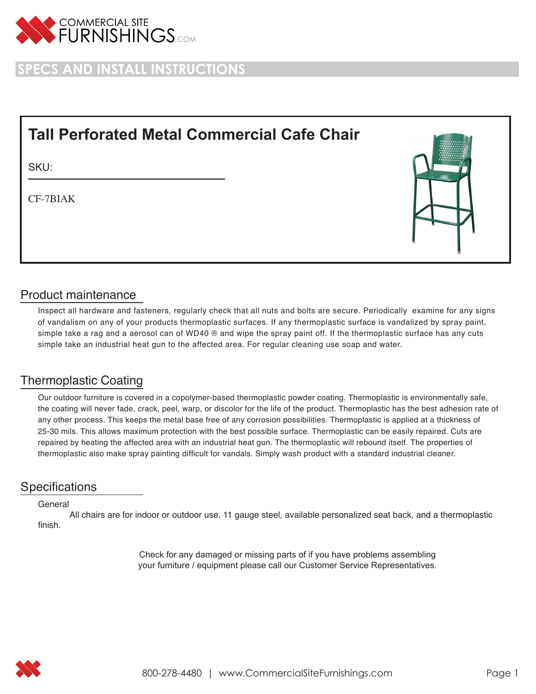

**SPECS AND INSTALL INSTRUCTIONS**

# **Tall Perforated Metal Commercial Cafe Chair**

SKU:

CF-7BIAK



## Product maintenance

Inspect all hardware and fasteners, regularly check that all nuts and bolts are secure. Periodically examine for any signs of vandalism on any of your products thermoplastic surfaces. If any thermoplastic surface is vandalized by spray paint, simple take a rag and a aerosol can of WD40 ® and wipe the spray paint off. If the thermoplastic surface has any cuts simple take an industrial heat gun to the affected area. For regular cleaning use soap and water.

# Thermoplastic Coating

Our outdoor furniture is covered in a copolymer-based thermoplastic powder coating. Thermoplastic is environmentally safe, the coating will never fade, crack, peel, warp, or discolor for the life of the product. Thermoplastic has the best adhesion rate of any other process. This keeps the metal base free of any corrosion possibilities. Thermoplastic is applied at a thickness of 25-30 mils. This allows maximum protection with the best possible surface. Thermoplastic can be easily repaired. Cuts are repaired by heating the affected area with an industrial heat gun. The thermoplastic will rebound itself. The properties of thermoplastic also make spray painting difficult for vandals. Simply wash product with a standard industrial cleaner.

### **Specifications**

#### General

All chairs are for indoor or outdoor use. 11 gauge steel, available personalized seat back, and a thermoplastic finish.

> Check for any damaged or missing parts of if you have problems assembling your furniture / equipment please call our Customer Service Representatives.

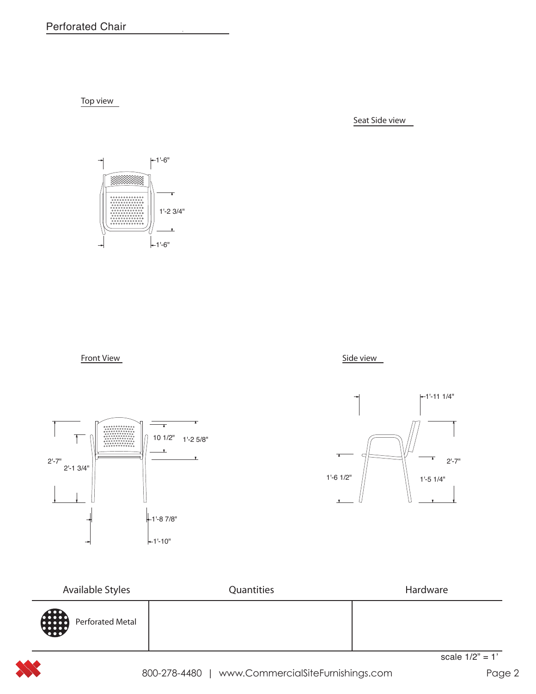Top view

Seat Side view









| Available Styles | Quantities | Hardware |
|------------------|------------|----------|
| Perforated Metal |            |          |